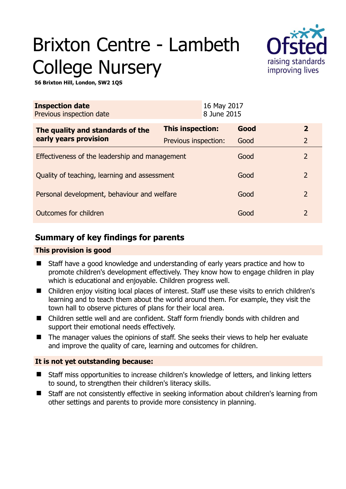# Brixton Centre - Lambeth College Nursery



**56 Brixton Hill, London, SW2 1QS** 

| <b>Inspection date</b><br>Previous inspection date        |                      | 16 May 2017<br>8 June 2015 |      |                |
|-----------------------------------------------------------|----------------------|----------------------------|------|----------------|
| The quality and standards of the<br>early years provision | This inspection:     |                            | Good | $\overline{2}$ |
|                                                           | Previous inspection: |                            | Good | $\overline{2}$ |
| Effectiveness of the leadership and management            |                      |                            | Good | $\mathcal{L}$  |
| Quality of teaching, learning and assessment              |                      |                            | Good | $\overline{2}$ |
| Personal development, behaviour and welfare               |                      |                            | Good | $\overline{2}$ |
| Outcomes for children                                     |                      |                            | Good | $\overline{2}$ |

## **Summary of key findings for parents**

## **This provision is good**

- Staff have a good knowledge and understanding of early years practice and how to promote children's development effectively. They know how to engage children in play which is educational and enjoyable. Children progress well.
- Children enjoy visiting local places of interest. Staff use these visits to enrich children's learning and to teach them about the world around them. For example, they visit the town hall to observe pictures of plans for their local area.
- Children settle well and are confident. Staff form friendly bonds with children and support their emotional needs effectively.
- The manager values the opinions of staff. She seeks their views to help her evaluate and improve the quality of care, learning and outcomes for children.

## **It is not yet outstanding because:**

- Staff miss opportunities to increase children's knowledge of letters, and linking letters to sound, to strengthen their children's literacy skills.
- Staff are not consistently effective in seeking information about children's learning from other settings and parents to provide more consistency in planning.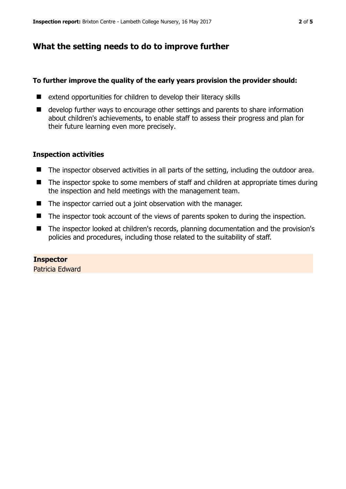## **What the setting needs to do to improve further**

#### **To further improve the quality of the early years provision the provider should:**

- $\blacksquare$  extend opportunities for children to develop their literacy skills
- develop further ways to encourage other settings and parents to share information about children's achievements, to enable staff to assess their progress and plan for their future learning even more precisely.

## **Inspection activities**

- The inspector observed activities in all parts of the setting, including the outdoor area.
- The inspector spoke to some members of staff and children at appropriate times during the inspection and held meetings with the management team.
- The inspector carried out a joint observation with the manager.
- The inspector took account of the views of parents spoken to during the inspection.
- The inspector looked at children's records, planning documentation and the provision's policies and procedures, including those related to the suitability of staff.

**Inspector**  Patricia Edward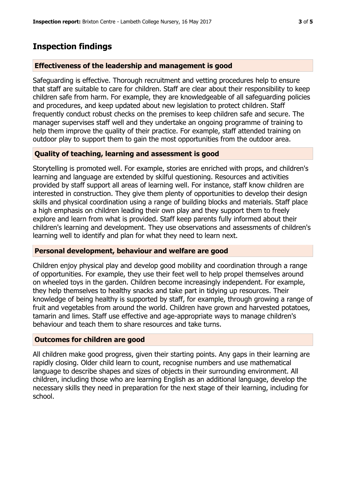## **Inspection findings**

#### **Effectiveness of the leadership and management is good**

Safeguarding is effective. Thorough recruitment and vetting procedures help to ensure that staff are suitable to care for children. Staff are clear about their responsibility to keep children safe from harm. For example, they are knowledgeable of all safeguarding policies and procedures, and keep updated about new legislation to protect children. Staff frequently conduct robust checks on the premises to keep children safe and secure. The manager supervises staff well and they undertake an ongoing programme of training to help them improve the quality of their practice. For example, staff attended training on outdoor play to support them to gain the most opportunities from the outdoor area.

## **Quality of teaching, learning and assessment is good**

Storytelling is promoted well. For example, stories are enriched with props, and children's learning and language are extended by skilful questioning. Resources and activities provided by staff support all areas of learning well. For instance, staff know children are interested in construction. They give them plenty of opportunities to develop their design skills and physical coordination using a range of building blocks and materials. Staff place a high emphasis on children leading their own play and they support them to freely explore and learn from what is provided. Staff keep parents fully informed about their children's learning and development. They use observations and assessments of children's learning well to identify and plan for what they need to learn next.

## **Personal development, behaviour and welfare are good**

Children enjoy physical play and develop good mobility and coordination through a range of opportunities. For example, they use their feet well to help propel themselves around on wheeled toys in the garden. Children become increasingly independent. For example, they help themselves to healthy snacks and take part in tidying up resources. Their knowledge of being healthy is supported by staff, for example, through growing a range of fruit and vegetables from around the world. Children have grown and harvested potatoes, tamarin and limes. Staff use effective and age-appropriate ways to manage children's behaviour and teach them to share resources and take turns.

#### **Outcomes for children are good**

All children make good progress, given their starting points. Any gaps in their learning are rapidly closing. Older child learn to count, recognise numbers and use mathematical language to describe shapes and sizes of objects in their surrounding environment. All children, including those who are learning English as an additional language, develop the necessary skills they need in preparation for the next stage of their learning, including for school.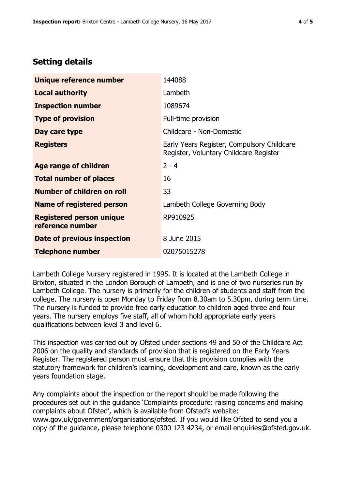## **Setting details**

| Unique reference number                             | 144088                                                                               |  |
|-----------------------------------------------------|--------------------------------------------------------------------------------------|--|
| <b>Local authority</b>                              | Lambeth                                                                              |  |
| <b>Inspection number</b>                            | 1089674                                                                              |  |
| <b>Type of provision</b>                            | Full-time provision                                                                  |  |
| Day care type                                       | Childcare - Non-Domestic                                                             |  |
| <b>Registers</b>                                    | Early Years Register, Compulsory Childcare<br>Register, Voluntary Childcare Register |  |
| Age range of children                               | $2 - 4$                                                                              |  |
| <b>Total number of places</b>                       | 16                                                                                   |  |
| Number of children on roll                          | 33                                                                                   |  |
| Name of registered person                           | Lambeth College Governing Body                                                       |  |
| <b>Registered person unique</b><br>reference number | RP910925                                                                             |  |
| <b>Date of previous inspection</b>                  | 8 June 2015                                                                          |  |
| <b>Telephone number</b>                             | 02075015278                                                                          |  |

Lambeth College Nursery registered in 1995. It is located at the Lambeth College in Brixton, situated in the London Borough of Lambeth, and is one of two nurseries run by Lambeth College. The nursery is primarily for the children of students and staff from the college. The nursery is open Monday to Friday from 8.30am to 5.30pm, during term time. The nursery is funded to provide free early education to children aged three and four years. The nursery employs five staff, all of whom hold appropriate early years qualifications between level 3 and level 6.

This inspection was carried out by Ofsted under sections 49 and 50 of the Childcare Act 2006 on the quality and standards of provision that is registered on the Early Years Register. The registered person must ensure that this provision complies with the statutory framework for children's learning, development and care, known as the early years foundation stage.

Any complaints about the inspection or the report should be made following the procedures set out in the guidance 'Complaints procedure: raising concerns and making complaints about Ofsted', which is available from Ofsted's website: www.gov.uk/government/organisations/ofsted. If you would like Ofsted to send you a copy of the guidance, please telephone 0300 123 4234, or email enquiries@ofsted.gov.uk.